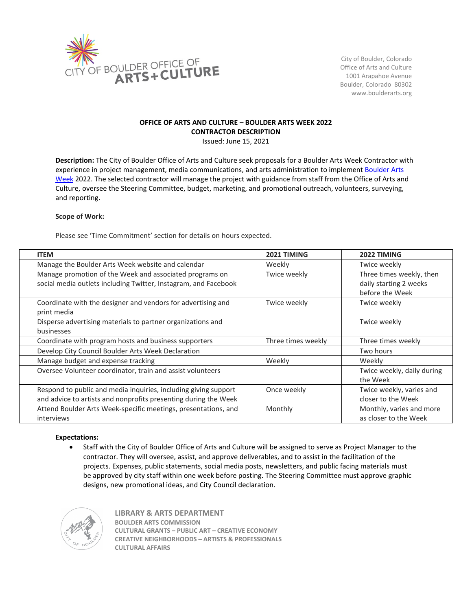

City of Boulder, Colorado Office of Arts and Culture 1001 Arapahoe Avenue Boulder, Colorado 80302 www.boulderarts.org

# **OFFICE OF ARTS AND CULTURE – BOULDER ARTS WEEK 2022 CONTRACTOR DESCRIPTION**

Issued: June 15, 2021

**Description:** The City of Boulder Office of Arts and Culture seek proposals for a Boulder Arts Week Contractor with experience in project management, media communications, and arts administration to implement Boulder Arts [Week](http://www.boulderartsweek.org/) 2022. The selected contractor will manage the project with guidance from staff from the Office of Arts and Culture, oversee the Steering Committee, budget, marketing, and promotional outreach, volunteers, surveying, and reporting.

# **Scope of Work:**

Please see 'Time Commitment' section for details on hours expected.

| <b>ITEM</b>                                                     | 2021 TIMING        | 2022 TIMING                |
|-----------------------------------------------------------------|--------------------|----------------------------|
| Manage the Boulder Arts Week website and calendar               | Weekly             | Twice weekly               |
| Manage promotion of the Week and associated programs on         | Twice weekly       | Three times weekly, then   |
| social media outlets including Twitter, Instagram, and Facebook |                    | daily starting 2 weeks     |
|                                                                 |                    | before the Week            |
| Coordinate with the designer and vendors for advertising and    | Twice weekly       | Twice weekly               |
| print media                                                     |                    |                            |
| Disperse advertising materials to partner organizations and     |                    | Twice weekly               |
| businesses                                                      |                    |                            |
| Coordinate with program hosts and business supporters           | Three times weekly | Three times weekly         |
| Develop City Council Boulder Arts Week Declaration              |                    | Two hours                  |
| Manage budget and expense tracking                              | Weekly             | Weekly                     |
| Oversee Volunteer coordinator, train and assist volunteers      |                    | Twice weekly, daily during |
|                                                                 |                    | the Week                   |
| Respond to public and media inquiries, including giving support | Once weekly        | Twice weekly, varies and   |
| and advice to artists and nonprofits presenting during the Week |                    | closer to the Week         |
| Attend Boulder Arts Week-specific meetings, presentations, and  | Monthly            | Monthly, varies and more   |
| interviews                                                      |                    | as closer to the Week      |

### **Expectations:**

• Staff with the City of Boulder Office of Arts and Culture will be assigned to serve as Project Manager to the contractor. They will oversee, assist, and approve deliverables, and to assist in the facilitation of the projects. Expenses, public statements, social media posts, newsletters, and public facing materials must be approved by city staff within one week before posting. The Steering Committee must approve graphic designs, new promotional ideas, and City Council declaration.



**LIBRARY & ARTS DEPARTMENT BOULDER ARTS COMMISSION CULTURAL GRANTS – PUBLIC ART – CREATIVE ECONOMY CREATIVE NEIGHBORHOODS – ARTISTS & PROFESSIONALS CULTURAL AFFAIRS**